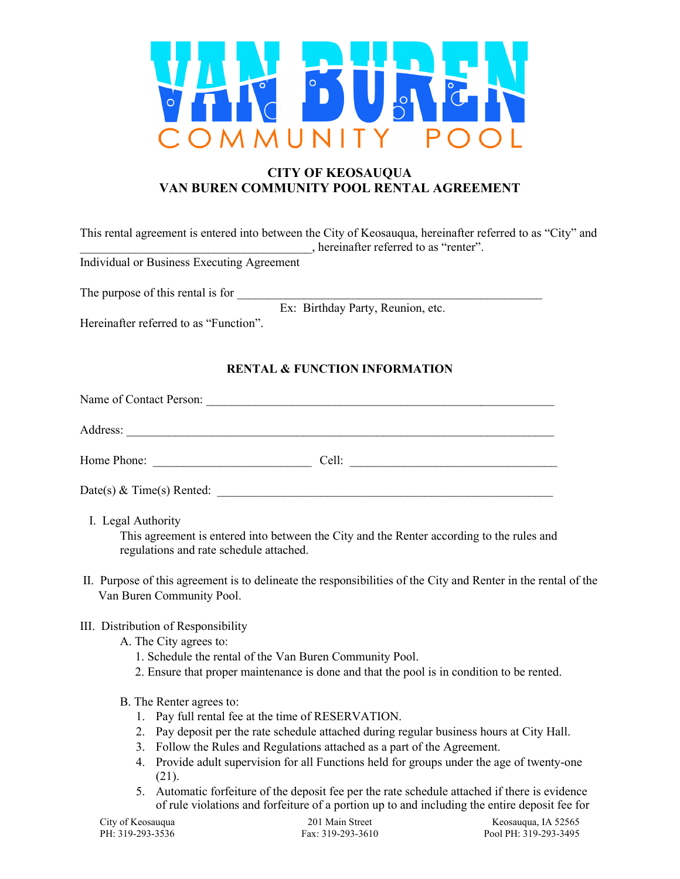

# **CITY OF KEOSAUQUA VAN BUREN COMMUNITY POOL RENTAL AGREEMENT**

|                                            | This rental agreement is entered into between the City of Keosauqua, hereinafter referred to as "City" and<br>, hereinafter referred to as "renter". |
|--------------------------------------------|------------------------------------------------------------------------------------------------------------------------------------------------------|
| Individual or Business Executing Agreement |                                                                                                                                                      |
| The purpose of this rental is for          |                                                                                                                                                      |
|                                            | Ex: Birthday Party, Reunion, etc.                                                                                                                    |
| Hereinafter referred to as "Function".     |                                                                                                                                                      |

## **RENTAL & FUNCTION INFORMATION**

| Name of Contact Person:     |       |
|-----------------------------|-------|
| Address:                    |       |
| Home Phone:                 | Cell: |
| Date(s) $&$ Time(s) Rented: |       |

I. Legal Authority

This agreement is entered into between the City and the Renter according to the rules and regulations and rate schedule attached.

II. Purpose of this agreement is to delineate the responsibilities of the City and Renter in the rental of the Van Buren Community Pool.

#### III. Distribution of Responsibility

- A. The City agrees to:
	- 1. Schedule the rental of the Van Buren Community Pool.
	- 2. Ensure that proper maintenance is done and that the pool is in condition to be rented.

### B. The Renter agrees to:

- 1. Pay full rental fee at the time of RESERVATION.
- 2. Pay deposit per the rate schedule attached during regular business hours at City Hall.
- 3. Follow the Rules and Regulations attached as a part of the Agreement.
- 4. Provide adult supervision for all Functions held for groups under the age of twenty-one (21).
- 5. Automatic forfeiture of the deposit fee per the rate schedule attached if there is evidence of rule violations and forfeiture of a portion up to and including the entire deposit fee for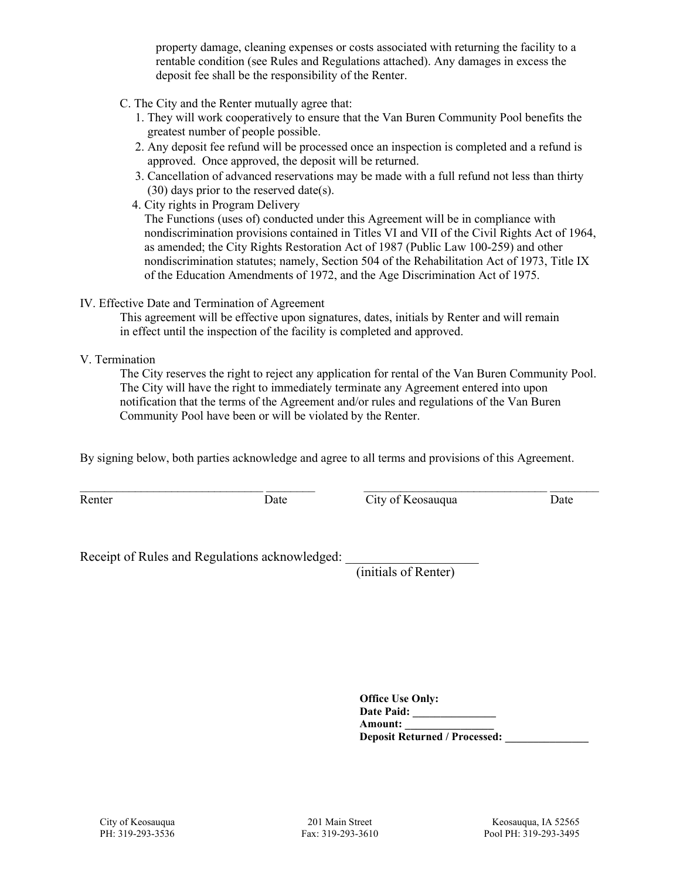property damage, cleaning expenses or costs associated with returning the facility to a rentable condition (see Rules and Regulations attached). Any damages in excess the deposit fee shall be the responsibility of the Renter.

- C. The City and the Renter mutually agree that:
	- 1. They will work cooperatively to ensure that the Van Buren Community Pool benefits the greatest number of people possible.
	- 2. Any deposit fee refund will be processed once an inspection is completed and a refund is approved. Once approved, the deposit will be returned.
	- 3. Cancellation of advanced reservations may be made with a full refund not less than thirty (30) days prior to the reserved date(s).
	- 4. City rights in Program Delivery

 The Functions (uses of) conducted under this Agreement will be in compliance with nondiscrimination provisions contained in Titles VI and VII of the Civil Rights Act of 1964, as amended; the City Rights Restoration Act of 1987 (Public Law 100-259) and other nondiscrimination statutes; namely, Section 504 of the Rehabilitation Act of 1973, Title IX of the Education Amendments of 1972, and the Age Discrimination Act of 1975.

#### IV. Effective Date and Termination of Agreement

This agreement will be effective upon signatures, dates, initials by Renter and will remain in effect until the inspection of the facility is completed and approved.

V. Termination

The City reserves the right to reject any application for rental of the Van Buren Community Pool. The City will have the right to immediately terminate any Agreement entered into upon notification that the terms of the Agreement and/or rules and regulations of the Van Buren Community Pool have been or will be violated by the Renter.

By signing below, both parties acknowledge and agree to all terms and provisions of this Agreement.

 $\_$  ,  $\_$  ,  $\_$  ,  $\_$  ,  $\_$  ,  $\_$  ,  $\_$  ,  $\_$  ,  $\_$  ,  $\_$  ,  $\_$  ,  $\_$  ,  $\_$  ,  $\_$  ,  $\_$  ,  $\_$  ,  $\_$  ,  $\_$  ,  $\_$  ,  $\_$  ,  $\_$  ,  $\_$  ,  $\_$  ,  $\_$  ,  $\_$  ,  $\_$  ,  $\_$  ,  $\_$  ,  $\_$  ,  $\_$  ,  $\_$  ,  $\_$  ,  $\_$  ,  $\_$  ,  $\_$  ,  $\_$  ,  $\_$  ,

Renter **Date** Date City of Keosauqua Date Date

Receipt of Rules and Regulations acknowledged:

(initials of Renter)

| <b>Office Use Only:</b>              |  |
|--------------------------------------|--|
| <b>Date Paid:</b>                    |  |
| Amount:                              |  |
| <b>Deposit Returned / Processed:</b> |  |